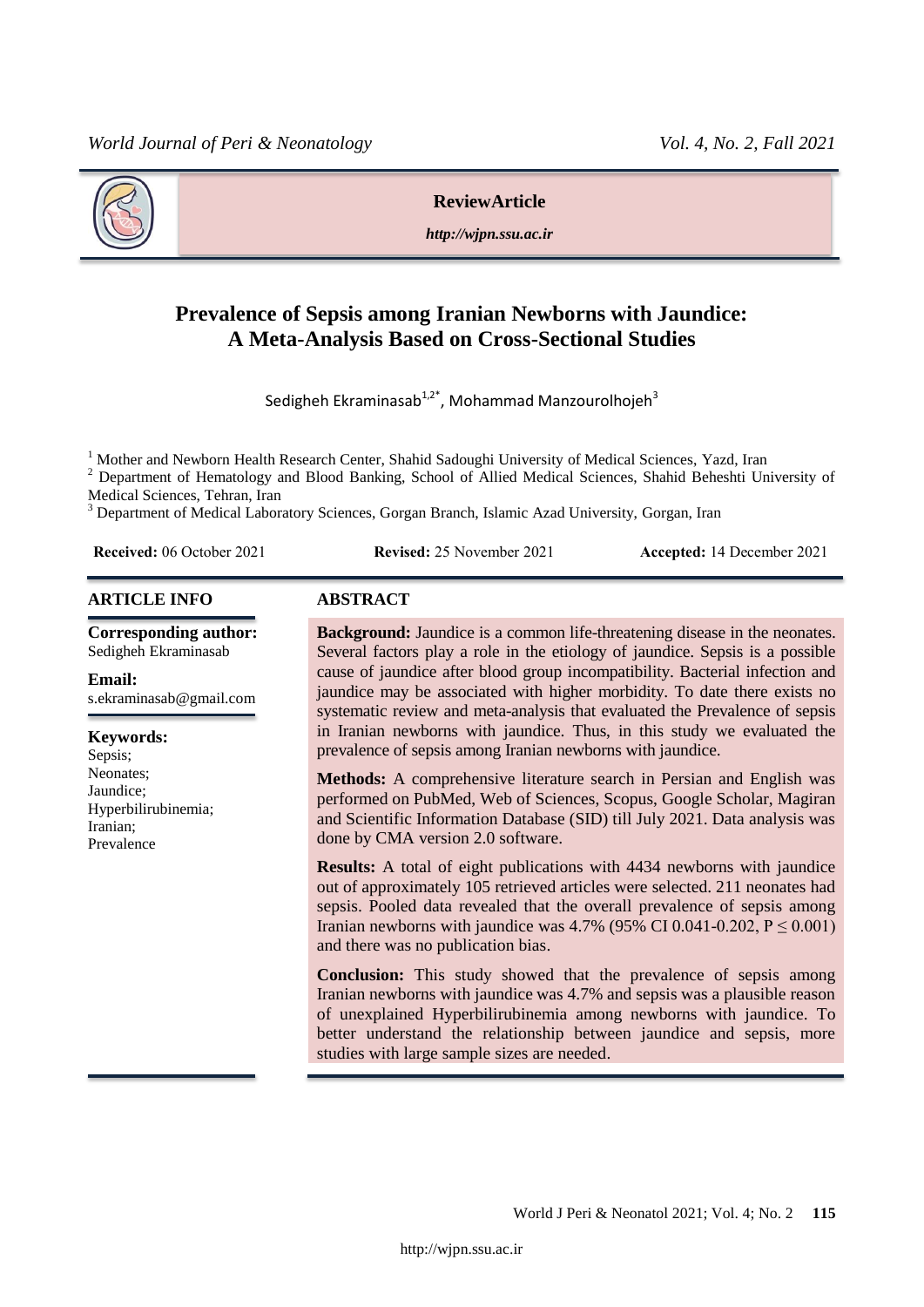

#### **ReviewArticle**

*http://wjpn.ssu.ac.ir*

# **Prevalence of Sepsis among Iranian Newborns with Jaundice: A Meta-Analysis Based on Cross-Sectional Studies**

Sedigheh Ekraminasab<sup>1,2\*</sup>, Mohammad Manzourolhojeh<sup>3</sup>

<sup>1</sup> Mother and Newborn Health Research Center, Shahid Sadoughi University of Medical Sciences, Yazd, Iran  $\frac{2}{5}$  Department of Hemateleau and Blood Benking. School of Allied Medical Sciences, Shahid Behealti Un

<sup>2</sup> Department of Hematology and Blood Banking, School of Allied Medical Sciences, Shahid Beheshti University of Medical Sciences, Tehran, Iran

<sup>3</sup> Department of Medical Laboratory Sciences, Gorgan Branch, Islamic Azad University, Gorgan, Iran

**Received:** 06 October 2021 **Revised:** 25 November 2021 **Accepted:** 14 December 2021

#### **ARTICLE INFO ABSTRACT**

**Corresponding author:** Sedigheh Ekraminasab

#### **Email:**

s.ekraminasab@gmail.com

# **Keywords:**

Sepsis; Neonates; Jaundice; Hyperbilirubinemia; Iranian; Prevalence

**Background:** Jaundice is a common life-threatening disease in the neonates. Several factors play a role in the etiology of jaundice. Sepsis is a possible cause of jaundice after blood group incompatibility. Bacterial infection and jaundice may be associated with higher morbidity. To date there exists no systematic review and meta-analysis that evaluated the Prevalence of sepsis in Iranian newborns with jaundice. Thus, in this study we evaluated the prevalence of sepsis among Iranian newborns with jaundice.

**Methods:** A comprehensive literature search in Persian and English was performed on PubMed, Web of Sciences, Scopus, Google Scholar, Magiran and Scientific Information Database (SID) till July 2021. Data analysis was done by CMA version 2.0 software.

**Results:** A total of eight publications with 4434 newborns with jaundice out of approximately 105 retrieved articles were selected. 211 neonates had sepsis. Pooled data revealed that the overall prevalence of sepsis among Iranian newborns with jaundice was 4.7% (95% CI 0.041-0.202,  $P \le 0.001$ ) and there was no publication bias.

**Conclusion:** This study showed that the prevalence of sepsis among Iranian newborns with jaundice was 4.7% and sepsis was a plausible reason of unexplained Hyperbilirubinemia among newborns with jaundice. To better understand the relationship between jaundice and sepsis, more studies with large sample sizes are needed.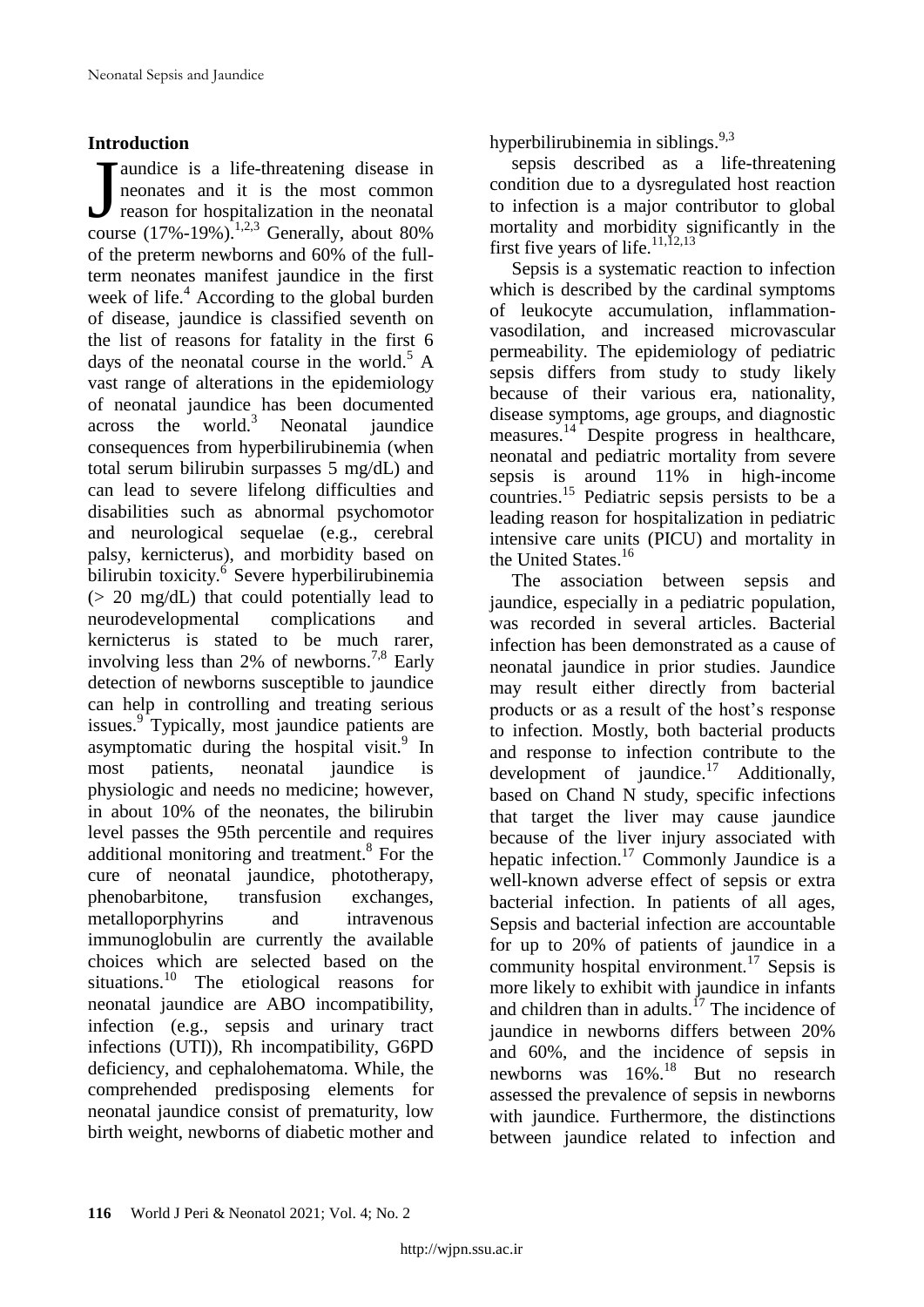#### **Introduction**

aundice is a life-threatening disease in neonates and it is the most common reason for hospitalization in the neonatal Taundice is a life-threatening disease in neonates and it is the most common reason for hospitalization in the neonatal course  $(17\% - 19\%)$ .<sup>1,2,3</sup> Generally, about 80% of the preterm newborns and 60% of the fullterm neonates manifest jaundice in the first week of life.<sup>4</sup> According to the global burden of disease, jaundice is classified seventh on the list of reasons for fatality in the first 6 days of the neonatal course in the world. $^5$  A vast range of alterations in the epidemiology of neonatal jaundice has been documented  $across$  the world.<sup>3</sup> Neonatal jaundice consequences from hyperbilirubinemia (when total serum bilirubin surpasses 5 mg/dL) and can lead to severe lifelong difficulties and disabilities such as abnormal psychomotor and neurological sequelae (e.g., cerebral palsy, kernicterus), and morbidity based on bilirubin toxicity.<sup>6</sup> Severe hyperbilirubinemia (> 20 mg/dL) that could potentially lead to neurodevelopmental complications and kernicterus is stated to be much rarer, involving less than 2% of newborns.<sup>7,8</sup> Early detection of newborns susceptible to jaundice can help in controlling and treating serious issues.<sup>9</sup> Typically, most jaundice patients are asymptomatic during the hospital visit.<sup>9</sup> In most patients, neonatal jaundice is physiologic and needs no medicine; however, in about 10% of the neonates, the bilirubin level passes the 95th percentile and requires additional monitoring and treatment.<sup>8</sup> For the cure of neonatal jaundice, phototherapy, phenobarbitone, transfusion exchanges, metalloporphyrins and intravenous immunoglobulin are currently the available choices which are selected based on the situations.<sup>10</sup> The etiological reasons for neonatal jaundice are ABO incompatibility, infection (e.g., sepsis and urinary tract infections (UTI)), Rh incompatibility, G6PD deficiency, and cephalohematoma. While, the comprehended predisposing elements for neonatal jaundice consist of prematurity, low birth weight, newborns of diabetic mother and

hyperbilirubinemia in siblings.  $9,3$ 

sepsis described as a life-threatening condition due to a dysregulated host reaction to infection is a major contributor to global mortality and morbidity significantly in the first five years of life. $11,12,13$ 

Sepsis is a systematic reaction to infection which is described by the cardinal symptoms of leukocyte accumulation, inflammationvasodilation, and increased microvascular permeability. The epidemiology of pediatric sepsis differs from study to study likely because of their various era, nationality, disease symptoms, age groups, and diagnostic measures.<sup>14</sup> Despite progress in healthcare, neonatal and pediatric mortality from severe sepsis is around 11% in high-income countries.<sup>15</sup> Pediatric sepsis persists to be a leading reason for hospitalization in pediatric intensive care units (PICU) and mortality in the United States.<sup>16</sup>

The association between sepsis and jaundice, especially in a pediatric population, was recorded in several articles. Bacterial infection has been demonstrated as a cause of neonatal jaundice in prior studies. Jaundice may result either directly from bacterial products or as a result of the host's response to infection. Mostly, both bacterial products and response to infection contribute to the development of jaundice.<sup>17</sup> Additionally, based on Chand N study, specific infections that target the liver may cause jaundice because of the liver injury associated with hepatic infection.<sup>17</sup> Commonly Jaundice is a well-known adverse effect of sepsis or extra bacterial infection. In patients of all ages, Sepsis and bacterial infection are accountable for up to 20% of patients of jaundice in a community hospital environment.<sup>17</sup> Sepsis is more likely to exhibit with jaundice in infants and children than in adults. $^{17}$  The incidence of jaundice in newborns differs between 20% and 60%, and the incidence of sepsis in newborns was 16%.<sup>18</sup> But no research assessed the prevalence of sepsis in newborns with jaundice. Furthermore, the distinctions between jaundice related to infection and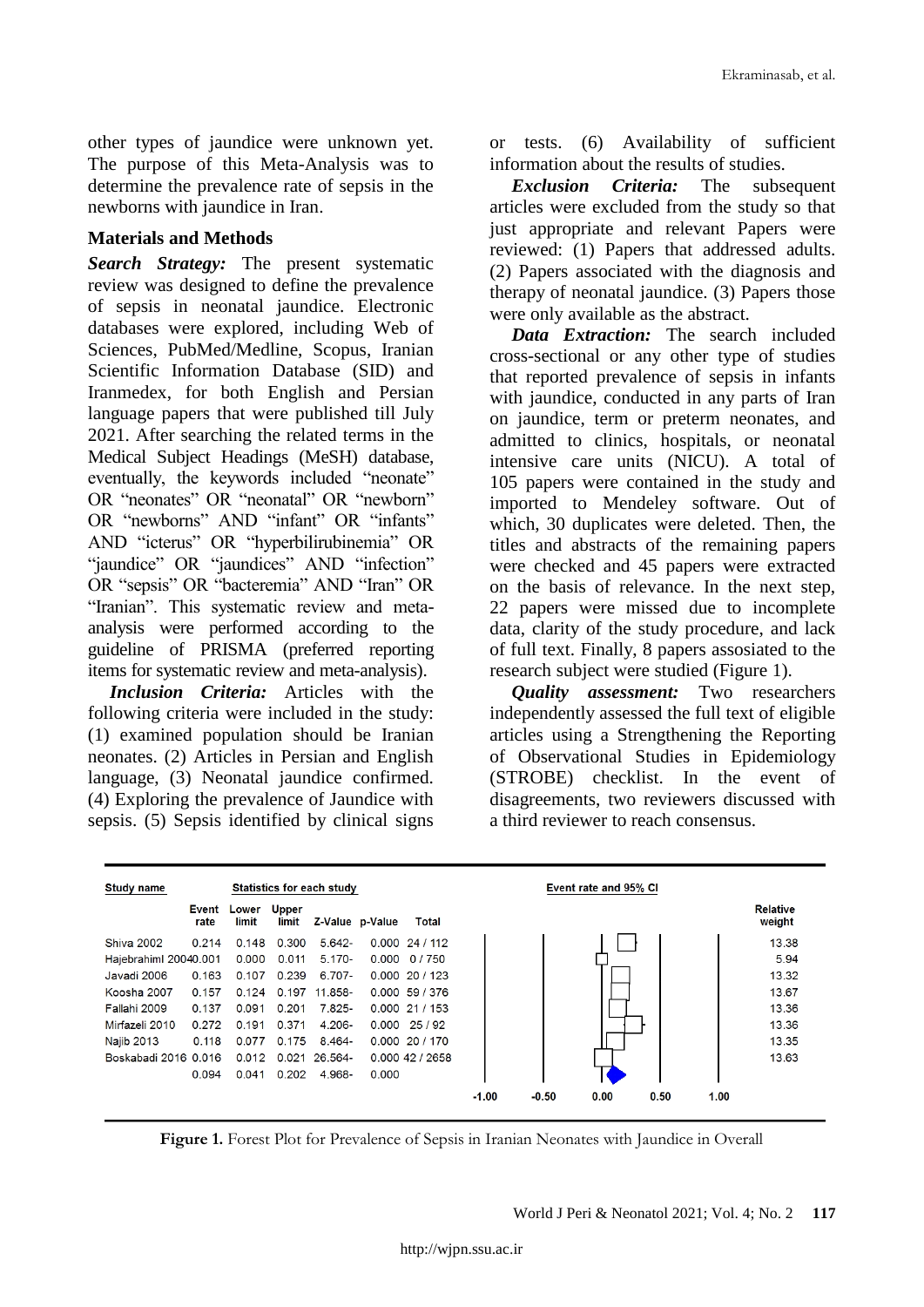other types of jaundice were unknown yet. The purpose of this Meta-Analysis was to determine the prevalence rate of sepsis in the newborns with jaundice in Iran.

#### **Materials and Methods**

*Search Strategy:* The present systematic review was designed to define the prevalence of sepsis in neonatal jaundice. Electronic databases were explored, including Web of Sciences, PubMed/Medline, Scopus, Iranian Scientific Information Database (SID) and Iranmedex, for both English and Persian language papers that were published till July 2021. After searching the related terms in the Medical Subject Headings (MeSH) database, eventually, the keywords included "neonate" OR "neonates" OR "neonatal" OR "newborn" OR "newborns" AND "infant" OR "infants" AND "icterus" OR "hyperbilirubinemia" OR "jaundice" OR "jaundices" AND "infection" OR "sepsis" OR "bacteremia" AND "Iran" OR "Iranian". This systematic review and metaanalysis were performed according to the guideline of PRISMA (preferred reporting items for systematic review and meta-analysis).

*Inclusion Criteria:* Articles with the following criteria were included in the study: (1) examined population should be Iranian neonates. (2) Articles in Persian and English language, (3) Neonatal jaundice confirmed. (4) Exploring the prevalence of Jaundice with sepsis. (5) Sepsis identified by clinical signs

or tests. (6) Availability of sufficient information about the results of studies.

*Exclusion Criteria:* The subsequent articles were excluded from the study so that just appropriate and relevant Papers were reviewed: (1) Papers that addressed adults. (2) Papers associated with the diagnosis and therapy of neonatal jaundice. (3) Papers those were only available as the abstract.

*Data Extraction:* The search included cross-sectional or any other type of studies that reported prevalence of sepsis in infants with jaundice, conducted in any parts of Iran on jaundice, term or preterm neonates, and admitted to clinics, hospitals, or neonatal intensive care units (NICU). A total of 105 papers were contained in the study and imported to Mendeley software. Out of which, 30 duplicates were deleted. Then, the titles and abstracts of the remaining papers were checked and 45 papers were extracted on the basis of relevance. In the next step, 22 papers were missed due to incomplete data, clarity of the study procedure, and lack of full text. Finally, 8 papers assosiated to the research subject were studied (Figure 1).

*Quality assessment:* Two researchers independently assessed the full text of eligible articles using a Strengthening the Reporting of Observational Studies in Epidemiology (STROBE) checklist. In the event of disagreements, two reviewers discussed with a third reviewer to reach consensus.

| Study name            | Statistics for each study |                |                       |            |                 |                     | Event rate and 95% CI |         |      |      |      |                           |
|-----------------------|---------------------------|----------------|-----------------------|------------|-----------------|---------------------|-----------------------|---------|------|------|------|---------------------------|
|                       | Event<br>rate             | Lower<br>limit | <b>Upper</b><br>limit |            | Z-Value p-Value | Total               |                       |         |      |      |      | <b>Relative</b><br>weight |
| <b>Shiva 2002</b>     | 0.214                     | 0.148          | 0.300                 | $5.642 -$  |                 | 0.00024/112         |                       |         |      |      |      | 13.38                     |
| Hajebrahiml 20040.001 |                           | 0.000          | 0.011                 | $5.170 -$  |                 | $0.000 \quad 0/750$ |                       |         |      |      |      | 5.94                      |
| Javadi 2006           | 0.163                     | 0.107          | 0.239                 | 6.707-     |                 | $0.000$ 20 / 123    |                       |         |      |      |      | 13.32                     |
| Koosha 2007           | 0.157                     | 0.124          | 0.197                 | $11.858 -$ |                 | $0.000$ 59 / 376    |                       |         |      |      |      | 13.67                     |
| Fallahi 2009          | 0.137                     | 0.091          | 0.201                 | 7.825-     |                 | 0.00021/153         |                       |         |      |      |      | 13.36                     |
| Mirfazeli 2010        | 0.272                     | 0.191          | 0.371                 | $4.206 -$  |                 | $0.000 \quad 25/92$ |                       |         |      |      |      | 13.36                     |
| Najib 2013            | 0.118                     | 0.077          | 0.175                 | $8.464 -$  |                 | $0.000$ 20 / 170    |                       |         |      |      |      | 13.35                     |
| Boskabadi 2016 0.016  |                           | 0.012          | 0.021                 | 26.564-    |                 | 0.00042/2658        |                       |         |      |      |      | 13.63                     |
|                       | 0.094                     | 0.041          | 0.202                 | 4.968-     | 0.000           |                     |                       |         |      |      |      |                           |
|                       |                           |                |                       |            |                 |                     | $-1.00$               | $-0.50$ | 0.00 | 0.50 | 1.00 |                           |

**Figure 1.** Forest Plot for Prevalence of Sepsis in Iranian Neonates with Jaundice in Overall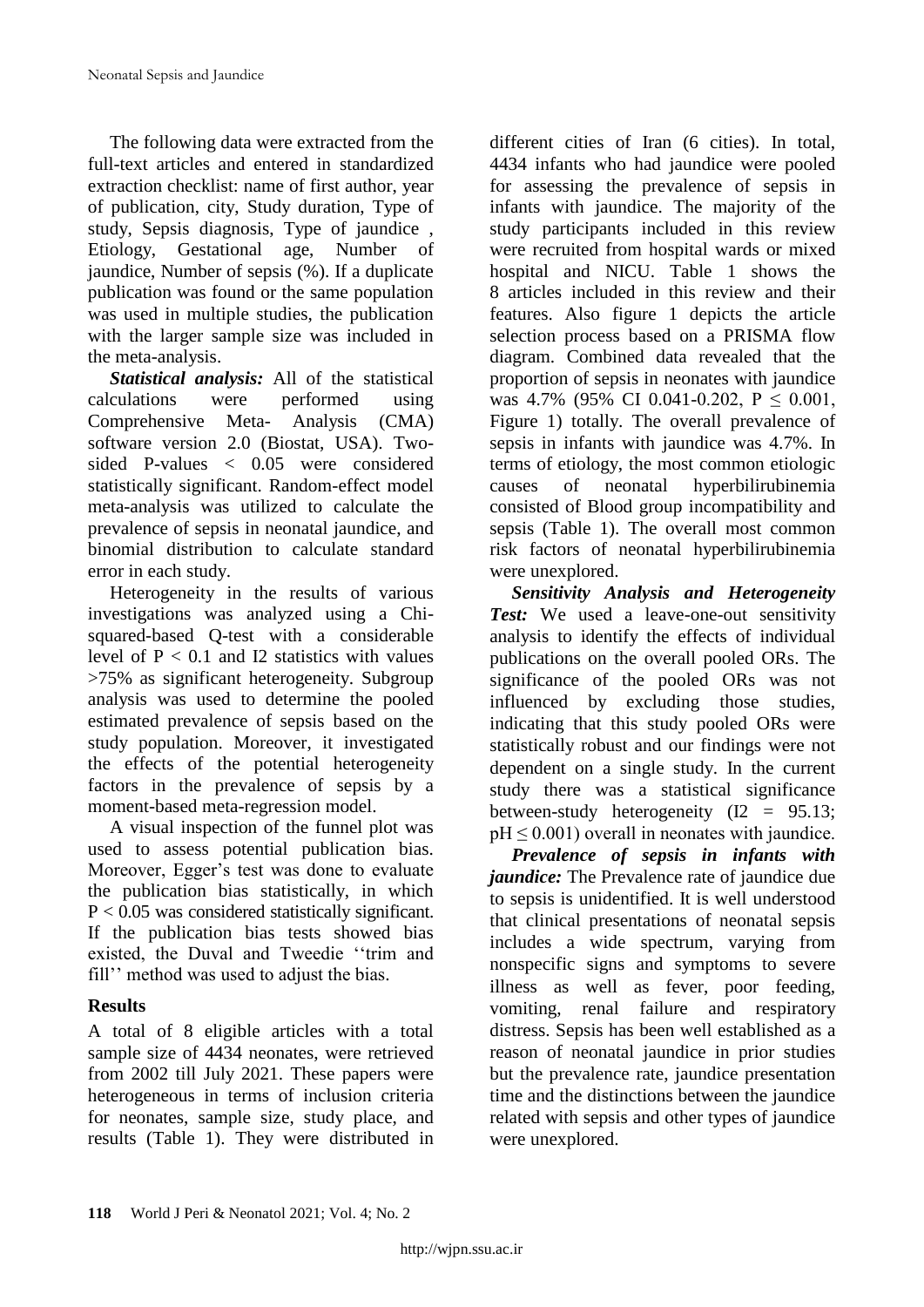The following data were extracted from the full-text articles and entered in standardized extraction checklist: name of first author, year of publication, city, Study duration, Type of study, Sepsis diagnosis, Type of jaundice , Etiology, Gestational age, Number of jaundice, Number of sepsis (%). If a duplicate publication was found or the same population was used in multiple studies, the publication with the larger sample size was included in the meta-analysis.

*Statistical analysis:* All of the statistical calculations were performed using Comprehensive Meta- Analysis (CMA) software version 2.0 (Biostat, USA). Twosided P-values < 0.05 were considered statistically significant. Random-effect model meta-analysis was utilized to calculate the prevalence of sepsis in neonatal jaundice, and binomial distribution to calculate standard error in each study.

Heterogeneity in the results of various investigations was analyzed using a Chisquared-based Q-test with a considerable level of  $P < 0.1$  and I2 statistics with values >75% as significant heterogeneity. Subgroup analysis was used to determine the pooled estimated prevalence of sepsis based on the study population. Moreover, it investigated the effects of the potential heterogeneity factors in the prevalence of sepsis by a moment-based meta-regression model.

A visual inspection of the funnel plot was used to assess potential publication bias. Moreover, Egger's test was done to evaluate the publication bias statistically, in which P < 0.05 was considered statistically significant. If the publication bias tests showed bias existed, the Duval and Tweedie ''trim and fill'' method was used to adjust the bias.

# **Results**

A total of 8 eligible articles with a total sample size of 4434 neonates, were retrieved from 2002 till July 2021. These papers were heterogeneous in terms of inclusion criteria for neonates, sample size, study place, and results (Table 1). They were distributed in

different cities of Iran (6 cities). In total, 4434 infants who had jaundice were pooled for assessing the prevalence of sepsis in infants with jaundice. The majority of the study participants included in this review were recruited from hospital wards or mixed hospital and NICU. Table 1 shows the 8 articles included in this review and their features. Also figure 1 depicts the article selection process based on a PRISMA flow diagram. Combined data revealed that the proportion of sepsis in neonates with jaundice was 4.7% (95% CI 0.041-0.202,  $P \le 0.001$ , Figure 1) totally. The overall prevalence of sepsis in infants with jaundice was 4.7%. In terms of etiology, the most common etiologic causes of neonatal hyperbilirubinemia consisted of Blood group incompatibility and sepsis (Table 1). The overall most common risk factors of neonatal hyperbilirubinemia were unexplored.

*Sensitivity Analysis and Heterogeneity Test:* We used a leave-one-out sensitivity analysis to identify the effects of individual publications on the overall pooled ORs. The significance of the pooled ORs was not influenced by excluding those studies, indicating that this study pooled ORs were statistically robust and our findings were not dependent on a single study. In the current study there was a statistical significance between-study heterogeneity  $(I2 = 95.13;$  $pH \leq 0.001$ ) overall in neonates with jaundice.

*Prevalence of sepsis in infants with jaundice:* The Prevalence rate of jaundice due to sepsis is unidentified. It is well understood that clinical presentations of neonatal sepsis includes a wide spectrum, varying from nonspecific signs and symptoms to severe illness as well as fever, poor feeding, vomiting, renal failure and respiratory distress. Sepsis has been well established as a reason of neonatal jaundice in prior studies but the prevalence rate, jaundice presentation time and the distinctions between the jaundice related with sepsis and other types of jaundice were unexplored.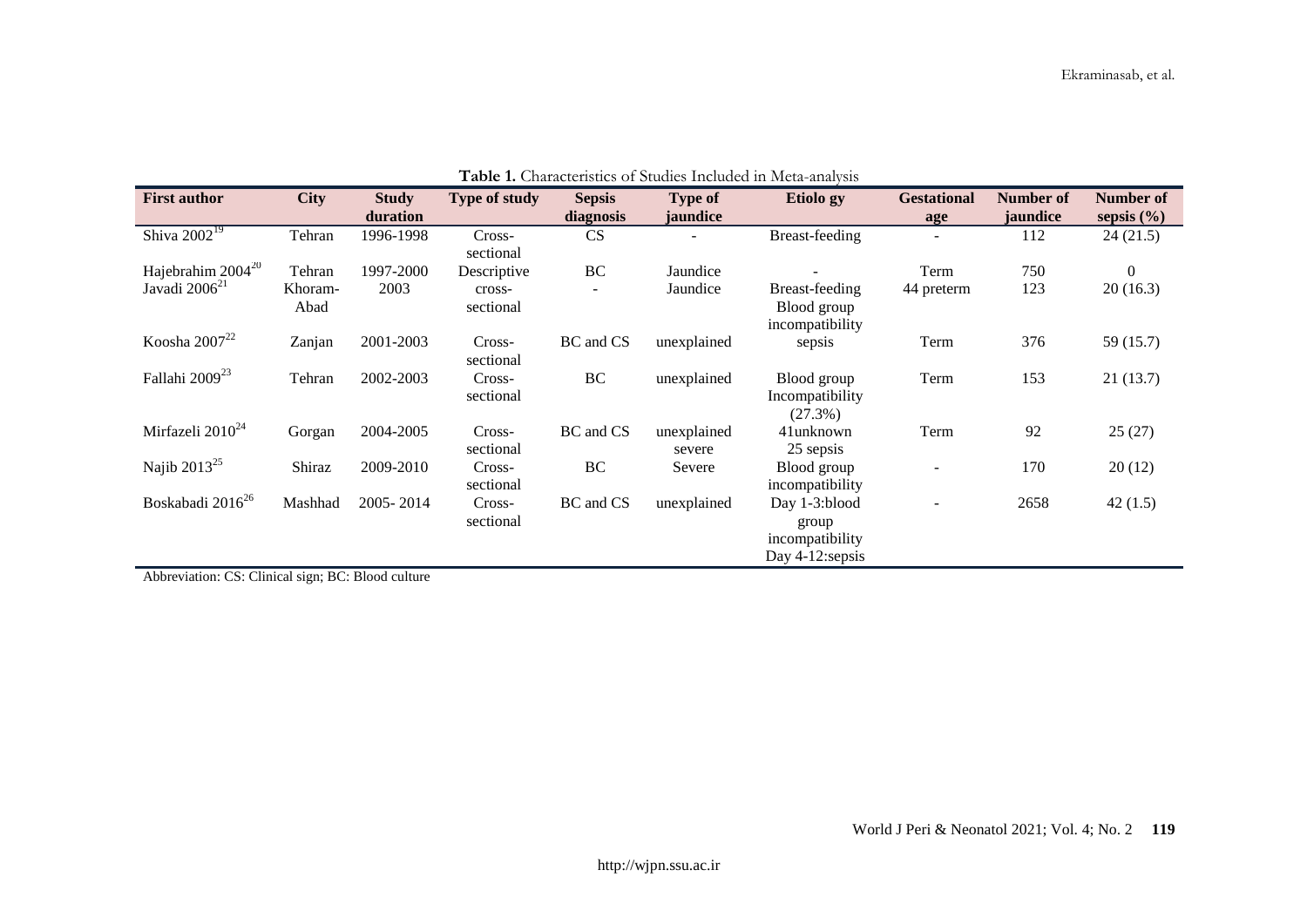| <b>Table 1.</b> Characteristics of buddles michaeld in initia-analysis |             |              |                      |               |             |                 |                    |           |                |  |
|------------------------------------------------------------------------|-------------|--------------|----------------------|---------------|-------------|-----------------|--------------------|-----------|----------------|--|
| <b>First author</b>                                                    | <b>City</b> | <b>Study</b> | <b>Type of study</b> | <b>Sepsis</b> | Type of     | Etiolo gy       | <b>Gestational</b> | Number of | Number of      |  |
|                                                                        |             | duration     |                      | diagnosis     | jaundice    |                 | age                | jaundice  | sepsis $(\% )$ |  |
| Shiva $2002^{19}$                                                      | Tehran      | 1996-1998    | Cross-               | CS            |             | Breast-feeding  |                    | 112       | 24(21.5)       |  |
|                                                                        |             |              | sectional            |               |             |                 |                    |           |                |  |
| Hajebrahim 2004 <sup>20</sup>                                          | Tehran      | 1997-2000    | Descriptive          | BC            | Jaundice    |                 | Term               | 750       | $\overline{0}$ |  |
| Javadi 2006 <sup>21</sup>                                              | Khoram-     | 2003         | cross-               |               | Jaundice    | Breast-feeding  | 44 preterm         | 123       | 20(16.3)       |  |
|                                                                        | Abad        |              | sectional            |               |             | Blood group     |                    |           |                |  |
|                                                                        |             |              |                      |               |             | incompatibility |                    |           |                |  |
| Koosha 2007 $^{22}$                                                    | Zanjan      | 2001-2003    | Cross-               | BC and CS     | unexplained | sepsis          | Term               | 376       | 59 (15.7)      |  |
|                                                                        |             |              | sectional            |               |             |                 |                    |           |                |  |
| Fallahi 2009 <sup>23</sup>                                             | Tehran      | 2002-2003    | Cross-               | BC            | unexplained | Blood group     | Term               | 153       | 21(13.7)       |  |
|                                                                        |             |              | sectional            |               |             | Incompatibility |                    |           |                |  |
|                                                                        |             |              |                      |               |             | (27.3%)         |                    |           |                |  |
| Mirfazeli 2010 <sup>24</sup>                                           | Gorgan      | 2004-2005    | Cross-               | BC and CS     | unexplained | 41unknown       | Term               | 92        | 25(27)         |  |
|                                                                        |             |              | sectional            |               | severe      | 25 sepsis       |                    |           |                |  |
| Najib $2013^{25}$                                                      | Shiraz      | 2009-2010    | Cross-               | BC            | Severe      | Blood group     |                    | 170       | 20(12)         |  |
|                                                                        |             |              | sectional            |               |             | incompatibility |                    |           |                |  |
| Boskabadi 2016 <sup>26</sup>                                           | Mashhad     | 2005-2014    | Cross-               | BC and CS     | unexplained | Day 1-3:blood   |                    | 2658      | 42(1.5)        |  |
|                                                                        |             |              | sectional            |               |             | group           |                    |           |                |  |
|                                                                        |             |              |                      |               |             | incompatibility |                    |           |                |  |
|                                                                        |             |              |                      |               |             | Day 4-12:sepsis |                    |           |                |  |

**Table 1.** Characteristics of Studies Included in Meta-analysis

Abbreviation: CS: Clinical sign; BC: Blood culture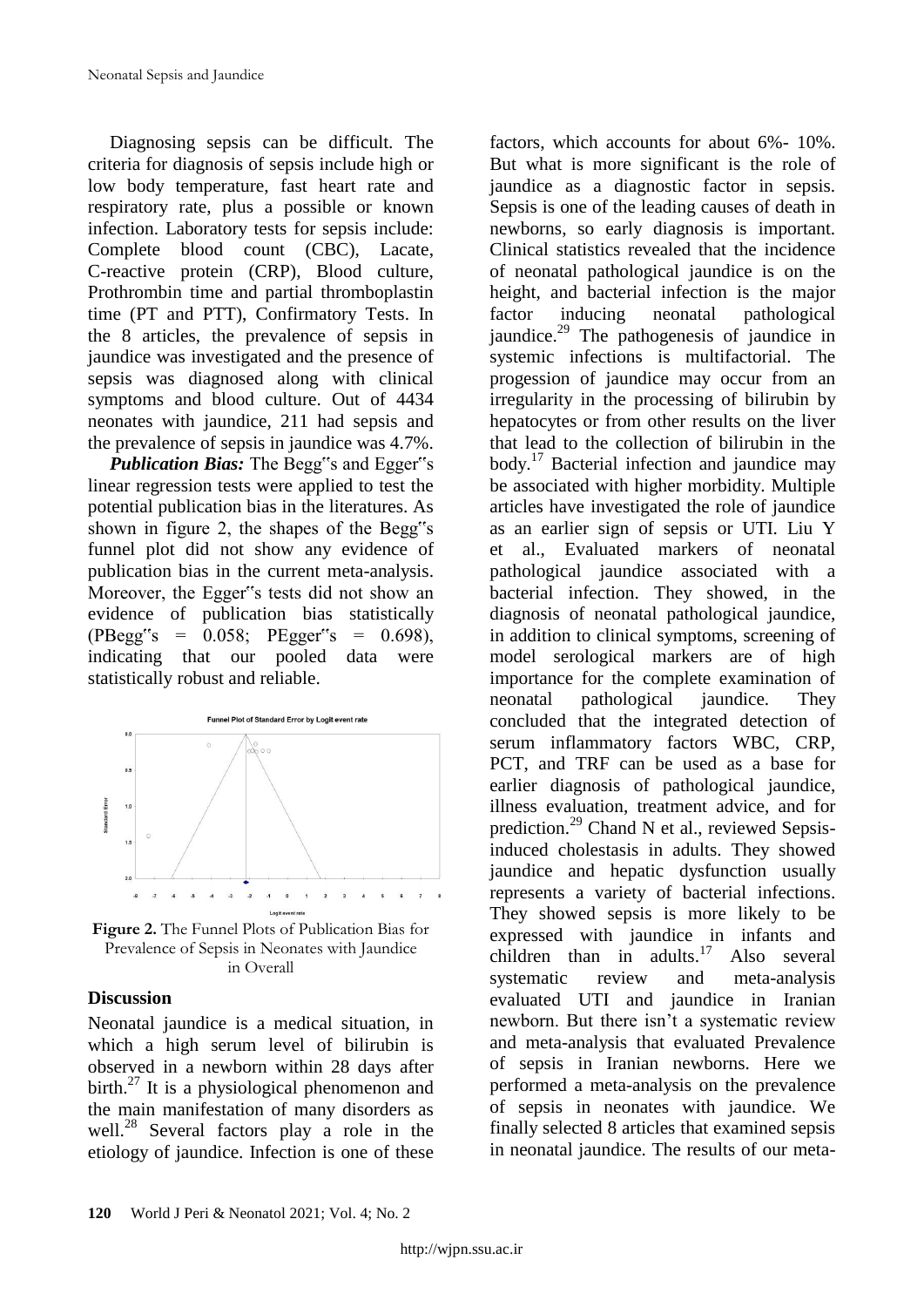Diagnosing sepsis can be difficult. The criteria for diagnosis of sepsis include high or low body temperature, fast heart rate and respiratory rate, plus a possible or known infection. Laboratory tests for sepsis include: Complete blood count (CBC), Lacate, C-reactive protein (CRP), Blood culture, Prothrombin time and partial thromboplastin time (PT and PTT), Confirmatory Tests. In the 8 articles, the prevalence of sepsis in jaundice was investigated and the presence of sepsis was diagnosed along with clinical symptoms and blood culture. Out of 4434 neonates with jaundice, 211 had sepsis and the prevalence of sepsis in jaundice was 4.7%.

*Publication Bias:* The Begg"s and Egger"s linear regression tests were applied to test the potential publication bias in the literatures. As shown in figure 2, the shapes of the Begg"s funnel plot did not show any evidence of publication bias in the current meta-analysis. Moreover, the Egger"s tests did not show an evidence of publication bias statistically  $(PBegg's = 0.058; PEgger's = 0.698)$ indicating that our pooled data were statistically robust and reliable.



**Figure 2.** The Funnel Plots of Publication Bias for Prevalence of Sepsis in Neonates with Jaundice in Overall

#### **Discussion**

Neonatal jaundice is a medical situation, in which a high serum level of bilirubin is observed in a newborn within 28 days after birth.<sup>27</sup> It is a physiological phenomenon and the main manifestation of many disorders as well.<sup>28</sup> Several factors play a role in the etiology of jaundice. Infection is one of these

factors, which accounts for about 6%- 10%. But what is more significant is the role of jaundice as a diagnostic factor in sepsis. Sepsis is one of the leading causes of death in newborns, so early diagnosis is important. Clinical statistics revealed that the incidence of neonatal pathological jaundice is on the height, and bacterial infection is the major factor inducing neonatal pathological jaundice.<sup>29</sup> The pathogenesis of jaundice in systemic infections is multifactorial. The progession of jaundice may occur from an irregularity in the processing of bilirubin by hepatocytes or from other results on the liver that lead to the collection of bilirubin in the body. $17$  Bacterial infection and jaundice may be associated with higher morbidity. Multiple articles have investigated the role of jaundice as an earlier sign of sepsis or UTI. Liu Y et al., Evaluated markers of neonatal pathological jaundice associated with a bacterial infection. They showed, in the diagnosis of neonatal pathological jaundice, in addition to clinical symptoms, screening of model serological markers are of high importance for the complete examination of neonatal pathological jaundice. They concluded that the integrated detection of serum inflammatory factors WBC, CRP, PCT, and TRF can be used as a base for earlier diagnosis of pathological jaundice, illness evaluation, treatment advice, and for prediction.<sup>29</sup> Chand N et al., reviewed Sepsisinduced cholestasis in adults. They showed jaundice and hepatic dysfunction usually represents a variety of bacterial infections. They showed sepsis is more likely to be expressed with jaundice in infants and children than in adults. $17$  Also several systematic review and meta-analysis evaluated UTI and jaundice in Iranian newborn. But there isn't a systematic review and meta-analysis that evaluated Prevalence of sepsis in Iranian newborns. Here we performed a meta-analysis on the prevalence of sepsis in neonates with jaundice. We finally selected 8 articles that examined sepsis in neonatal jaundice. The results of our meta-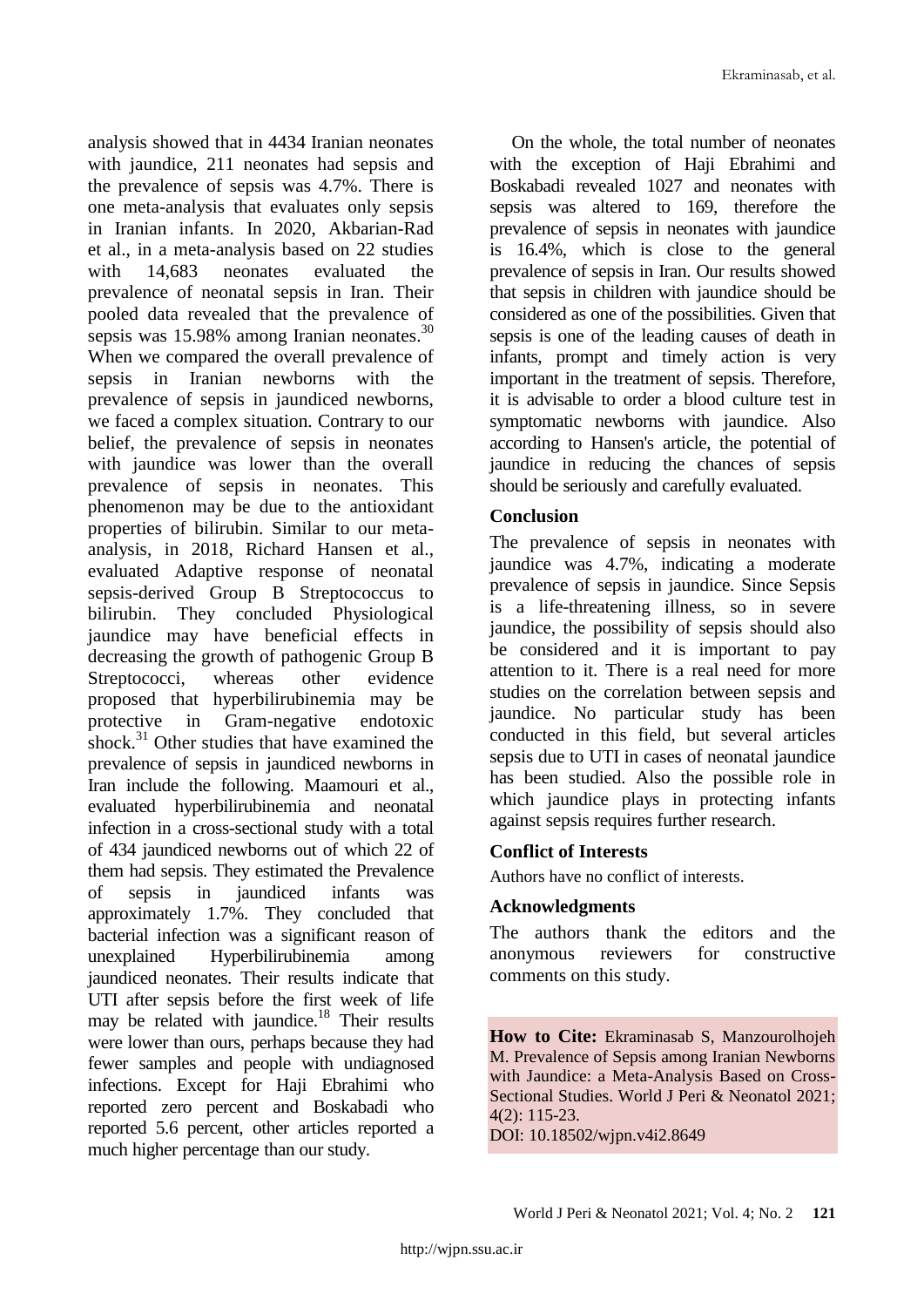analysis showed that in 4434 Iranian neonates with jaundice, 211 neonates had sepsis and the prevalence of sepsis was 4.7%. There is one meta-analysis that evaluates only sepsis in Iranian infants. In 2020, Akbarian-Rad et al., in a meta-analysis based on 22 studies with 14,683 neonates evaluated the prevalence of neonatal sepsis in Iran. Their pooled data revealed that the prevalence of sepsis was 15.98% among Iranian neonates.<sup>30</sup> When we compared the overall prevalence of sepsis in Iranian newborns with the prevalence of sepsis in jaundiced newborns, we faced a complex situation. Contrary to our belief, the prevalence of sepsis in neonates with jaundice was lower than the overall prevalence of sepsis in neonates. This phenomenon may be due to the antioxidant properties of bilirubin. Similar to our metaanalysis, in 2018, Richard Hansen et al., evaluated Adaptive response of neonatal sepsis-derived Group B Streptococcus to bilirubin. They concluded Physiological jaundice may have beneficial effects in decreasing the growth of pathogenic Group B Streptococci, whereas other evidence proposed that hyperbilirubinemia may be protective in Gram-negative endotoxic shock.<sup>31</sup> Other studies that have examined the prevalence of sepsis in jaundiced newborns in Iran include the following. Maamouri et al., evaluated hyperbilirubinemia and neonatal infection in a cross-sectional study with a total of 434 jaundiced newborns out of which 22 of them had sepsis. They estimated the Prevalence of sepsis in jaundiced infants was approximately 1.7%. They concluded that bacterial infection was a significant reason of unexplained Hyperbilirubinemia among jaundiced neonates. Their results indicate that UTI after sepsis before the first week of life may be related with jaundice.<sup>18</sup> Their results were lower than ours, perhaps because they had fewer samples and people with undiagnosed infections. Except for Haji Ebrahimi who reported zero percent and Boskabadi who reported 5.6 percent, other articles reported a much higher percentage than our study.

On the whole, the total number of neonates with the exception of Haji Ebrahimi and Boskabadi revealed 1027 and neonates with sepsis was altered to 169, therefore the prevalence of sepsis in neonates with jaundice is 16.4%, which is close to the general prevalence of sepsis in Iran. Our results showed that sepsis in children with jaundice should be considered as one of the possibilities. Given that sepsis is one of the leading causes of death in infants, prompt and timely action is very important in the treatment of sepsis. Therefore, it is advisable to order a blood culture test in symptomatic newborns with jaundice. Also according to Hansen's article, the potential of jaundice in reducing the chances of sepsis should be seriously and carefully evaluated.

# **Conclusion**

The prevalence of sepsis in neonates with jaundice was 4.7%, indicating a moderate prevalence of sepsis in jaundice. Since Sepsis is a life-threatening illness, so in severe jaundice, the possibility of sepsis should also be considered and it is important to pay attention to it. There is a real need for more studies on the correlation between sepsis and jaundice. No particular study has been conducted in this field, but several articles sepsis due to UTI in cases of neonatal jaundice has been studied. Also the possible role in which jaundice plays in protecting infants against sepsis requires further research.

# **Conflict of Interests**

Authors have no conflict of interests.

# **Acknowledgments**

The authors thank the editors and the anonymous reviewers for constructive comments on this study.

**How to Cite:** Ekraminasab S, Manzourolhojeh M. Prevalence of Sepsis among Iranian Newborns with Jaundice: a Meta-Analysis Based on Cross-Sectional Studies. World J Peri & Neonatol 2021; 4(2): 115-23.

DOI: 10.18502/wjpn.v4i2.8649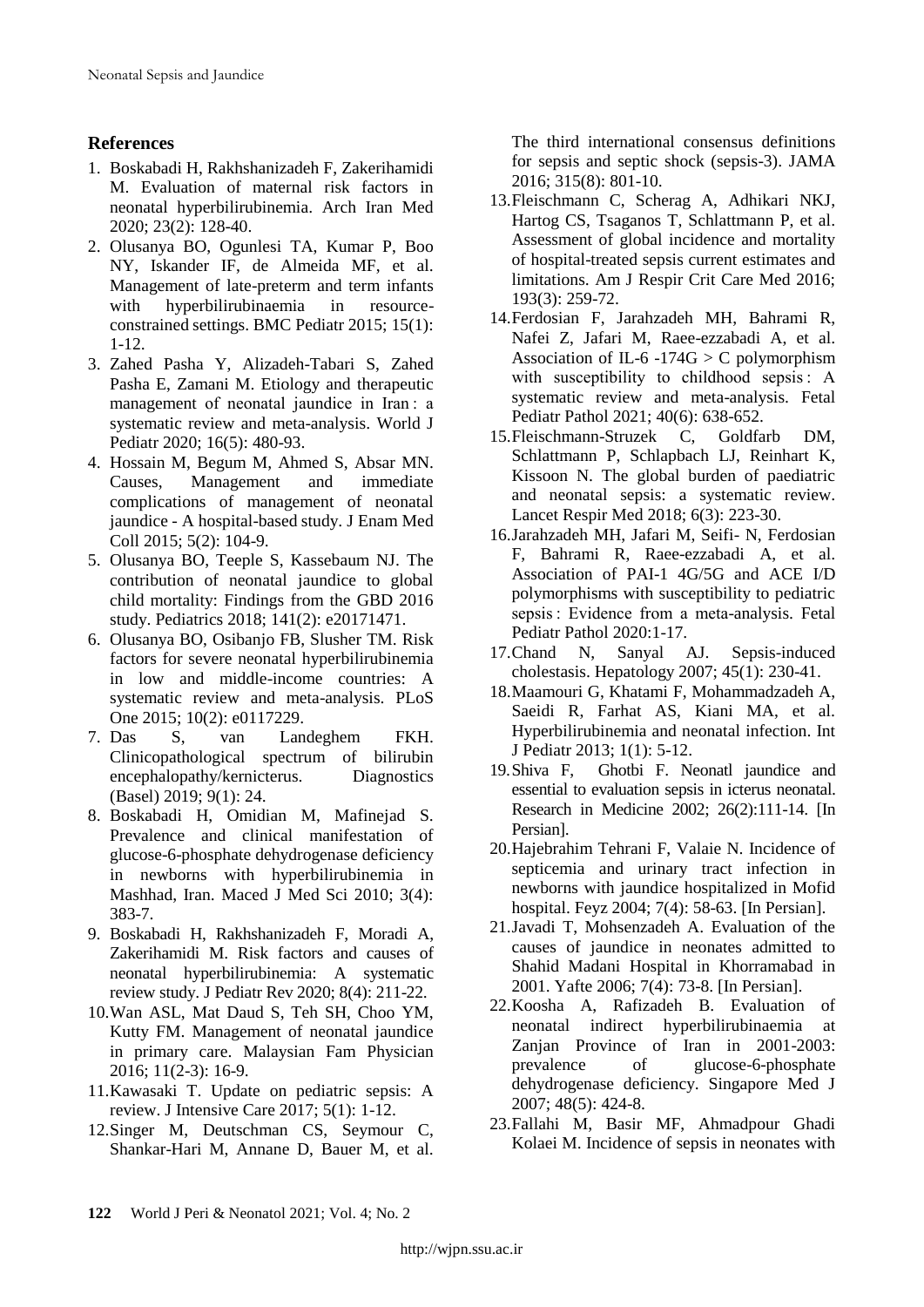#### **References**

- 1. Boskabadi H, Rakhshanizadeh F, Zakerihamidi M. Evaluation of maternal risk factors in neonatal hyperbilirubinemia. Arch Iran Med 2020; 23(2): 128-40.
- 2. Olusanya BO, Ogunlesi TA, Kumar P, Boo NY, Iskander IF, de Almeida MF, et al. Management of late-preterm and term infants with hyperbilirubinaemia in resourceconstrained settings. BMC Pediatr 2015; 15(1): 1-12.
- 3. Zahed Pasha Y, Alizadeh-Tabari S, Zahed Pasha E, Zamani M. Etiology and therapeutic management of neonatal jaundice in Iran : a systematic review and meta-analysis. World J Pediatr 2020; 16(5): 480-93.
- 4. Hossain M, Begum M, Ahmed S, Absar MN. Causes, Management and immediate complications of management of neonatal jaundice - A hospital-based study. J Enam Med Coll 2015; 5(2): 104-9.
- 5. Olusanya BO, Teeple S, Kassebaum NJ. The contribution of neonatal jaundice to global child mortality: Findings from the GBD 2016 study. Pediatrics 2018; 141(2): e20171471.
- 6. Olusanya BO, Osibanjo FB, Slusher TM. Risk factors for severe neonatal hyperbilirubinemia in low and middle-income countries: A systematic review and meta-analysis. PLoS One 2015; 10(2): e0117229.
- 7. Das S, van Landeghem FKH. Clinicopathological spectrum of bilirubin encephalopathy/kernicterus. Diagnostics (Basel) 2019; 9(1): 24.
- 8. Boskabadi H, Omidian M, Mafinejad S. Prevalence and clinical manifestation of glucose-6-phosphate dehydrogenase deficiency in newborns with hyperbilirubinemia in Mashhad, Iran. Maced J Med Sci 2010; 3(4): 383-7.
- 9. Boskabadi H, Rakhshanizadeh F, Moradi A, Zakerihamidi M. Risk factors and causes of neonatal hyperbilirubinemia: A systematic review study. J Pediatr Rev 2020; 8(4): 211-22.
- 10.Wan ASL, Mat Daud S, Teh SH, Choo YM, Kutty FM. Management of neonatal jaundice in primary care. Malaysian Fam Physician 2016; 11(2-3): 16-9.
- 11.Kawasaki T. Update on pediatric sepsis: A review. J Intensive Care 2017; 5(1): 1-12.
- 12.Singer M, Deutschman CS, Seymour C, Shankar-Hari M, Annane D, Bauer M, et al.

The third international consensus definitions for sepsis and septic shock (sepsis-3). JAMA 2016; 315(8): 801-10.

- 13.Fleischmann C, Scherag A, Adhikari NKJ, Hartog CS, Tsaganos T, Schlattmann P, et al. Assessment of global incidence and mortality of hospital-treated sepsis current estimates and limitations. Am J Respir Crit Care Med 2016; 193(3): 259-72.
- 14.Ferdosian F, Jarahzadeh MH, Bahrami R, Nafei Z, Jafari M, Raee-ezzabadi A, et al. Association of IL-6 -174G  $>$  C polymorphism with susceptibility to childhood sepsis : A systematic review and meta-analysis. Fetal Pediatr Pathol 2021; 40(6): 638-652.
- 15.Fleischmann-Struzek C, Goldfarb DM, Schlattmann P, Schlapbach LJ, Reinhart K, Kissoon N. The global burden of paediatric and neonatal sepsis: a systematic review. Lancet Respir Med 2018; 6(3): 223-30.
- 16.Jarahzadeh MH, Jafari M, Seifi- N, Ferdosian F, Bahrami R, Raee-ezzabadi A, et al. Association of PAI-1 4G/5G and ACE I/D polymorphisms with susceptibility to pediatric sepsis : Evidence from a meta-analysis. Fetal Pediatr Pathol 2020:1-17.
- 17.Chand N, Sanyal AJ. Sepsis-induced cholestasis. Hepatology 2007; 45(1): 230-41.
- 18.Maamouri G, Khatami F, Mohammadzadeh A, Saeidi R, Farhat AS, Kiani MA, et al. Hyperbilirubinemia and neonatal infection. Int J Pediatr 2013; 1(1): 5-12.
- 19.Shiva F, Ghotbi F. Neonatl jaundice and essential to evaluation sepsis in icterus neonatal. Research in Medicine 2002; 26(2):111-14. [In Persian].
- 20.Hajebrahim Tehrani F, Valaie N. Incidence of septicemia and urinary tract infection in newborns with jaundice hospitalized in Mofid hospital. Feyz 2004; 7(4): 58-63. [In Persian].
- 21.Javadi T, Mohsenzadeh A. Evaluation of the causes of jaundice in neonates admitted to Shahid Madani Hospital in Khorramabad in 2001. Yafte 2006; 7(4): 73-8. [In Persian].
- 22.Koosha A, Rafizadeh B. Evaluation of neonatal indirect hyperbilirubinaemia at Zanjan Province of Iran in 2001-2003: prevalence of glucose-6-phosphate dehydrogenase deficiency. Singapore Med J 2007; 48(5): 424-8.
- 23.Fallahi M, Basir MF, Ahmadpour Ghadi Kolaei M. Incidence of sepsis in neonates with